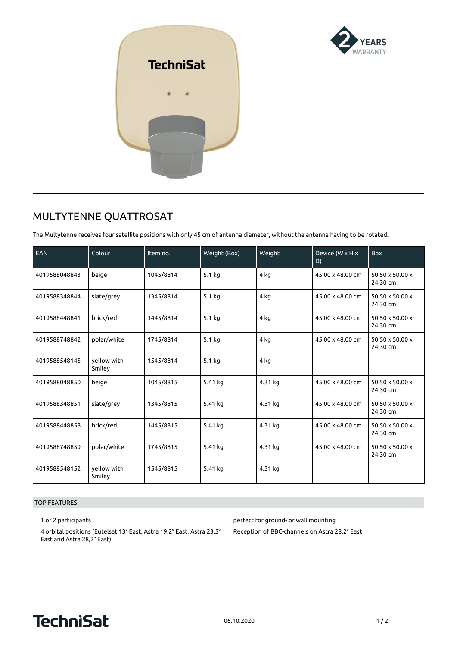



## **MULTYTENNE QUATTROSAT**

The Multytenne receives four satellite positions with only 45 cm of antenna diameter, without the antenna having to be rotated.

| <b>EAN</b>    | Colour                | Item no.  | Weight (Box) | Weight  | Device (W x H x<br>D) | <b>Box</b>                  |
|---------------|-----------------------|-----------|--------------|---------|-----------------------|-----------------------------|
| 4019588048843 | beige                 | 1045/8814 | 5.1 kg       | 4 kg    | 45.00 x 48.00 cm      | 50.50 x 50.00 x<br>24.30 cm |
| 4019588348844 | slate/grey            | 1345/8814 | 5.1 kg       | 4 ka    | 45.00 x 48.00 cm      | 50.50 x 50.00 x<br>24.30 cm |
| 4019588448841 | brick/red             | 1445/8814 | 5.1 kg       | 4 kg    | 45.00 x 48.00 cm      | 50.50 x 50.00 x<br>24.30 cm |
| 4019588748842 | polar/white           | 1745/8814 | 5.1 kg       | 4 kg    | 45.00 x 48.00 cm      | 50.50 x 50.00 x<br>24.30 cm |
| 4019588548145 | yellow with<br>Smiley | 1545/8814 | 5.1 kg       | 4 kg    |                       |                             |
| 4019588048850 | beige                 | 1045/8815 | 5.41 kg      | 4.31 kg | 45.00 x 48.00 cm      | 50.50 x 50.00 x<br>24.30 cm |
| 4019588348851 | slate/grey            | 1345/8815 | 5.41 kg      | 4.31 kg | 45.00 x 48.00 cm      | 50.50 x 50.00 x<br>24.30 cm |
| 4019588448858 | brick/red             | 1445/8815 | 5.41 kg      | 4.31 kg | 45.00 x 48.00 cm      | 50.50 x 50.00 x<br>24.30 cm |
| 4019588748859 | polar/white           | 1745/8815 | 5.41 kg      | 4.31 kg | 45.00 x 48.00 cm      | 50.50 x 50.00 x<br>24.30 cm |
| 4019588548152 | yellow with<br>Smiley | 1545/8815 | 5.41 kg      | 4.31 kg |                       |                             |

## TOP FEATURES

1 or 2 participants

4 orbital positions (Eutelsat 13° East, Astra 19,2° East, Astra 23,5° East and Astra 28,2° East)

perfect for ground- or wall mounting

Reception of BBC-channels on Astra 28.2° East